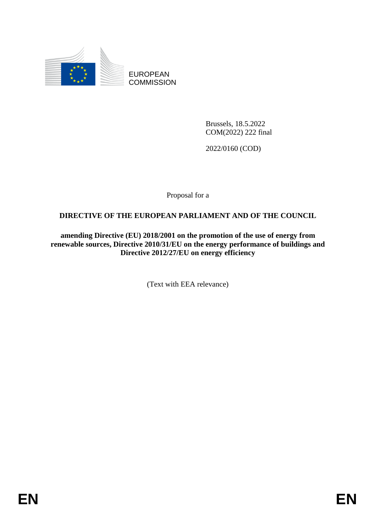

EUROPEAN **COMMISSION** 

> Brussels, 18.5.2022 COM(2022) 222 final

2022/0160 (COD)

Proposal for a

# **DIRECTIVE OF THE EUROPEAN PARLIAMENT AND OF THE COUNCIL**

**amending Directive (EU) 2018/2001 on the promotion of the use of energy from renewable sources, Directive 2010/31/EU on the energy performance of buildings and Directive 2012/27/EU on energy efficiency**

(Text with EEA relevance)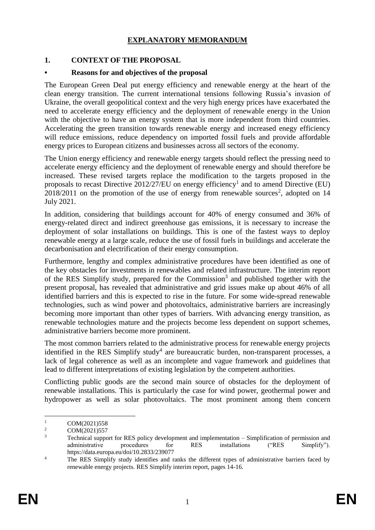# **EXPLANATORY MEMORANDUM**

# **1. CONTEXT OF THE PROPOSAL**

### **• Reasons for and objectives of the proposal**

The European Green Deal put energy efficiency and renewable energy at the heart of the clean energy transition. The current international tensions following Russia's invasion of Ukraine, the overall geopolitical context and the very high energy prices have exacerbated the need to accelerate energy efficiency and the deployment of renewable energy in the Union with the objective to have an energy system that is more independent from third countries. Accelerating the green transition towards renewable energy and increased enegy efficiency will reduce emissions, reduce dependency on imported fossil fuels and provide affordable energy prices to European citizens and businesses across all sectors of the economy.

The Union energy efficiency and renewable energy targets should reflect the pressing need to accelerate energy efficiency and the deployment of renewable energy and should therefore be increased. These revised targets replace the modification to the targets proposed in the proposals to recast Directive  $2012/27/EU$  on energy efficiency<sup>1</sup> and to amend Directive (EU)  $2018/2011$  on the promotion of the use of energy from renewable sources<sup>2</sup>, adopted on 14 July 2021.

In addition, considering that buildings account for 40% of energy consumed and 36% of energy-related direct and indirect greenhouse gas emissions, it is necessary to increase the deployment of solar installations on buildings. This is one of the fastest ways to deploy renewable energy at a large scale, reduce the use of fossil fuels in buildings and accelerate the decarbonisation and electrification of their energy consumption.

Furthermore, lengthy and complex administrative procedures have been identified as one of the key obstacles for investments in renewables and related infrastructure. The interim report of the RES Simplify study, prepared for the Commission<sup>3</sup> and published together with the present proposal, has revealed that administrative and grid issues make up about 46% of all identified barriers and this is expected to rise in the future. For some wide-spread renewable technologies, such as wind power and photovoltaics, administrative barriers are increasingly becoming more important than other types of barriers. With advancing energy transition, as renewable technologies mature and the projects become less dependent on support schemes, administrative barriers become more prominent.

The most common barriers related to the administrative process for renewable energy projects identified in the RES Simplify study<sup>4</sup> are bureaucratic burden, non-transparent processes, a lack of legal coherence as well as an incomplete and vague framework and guidelines that lead to different interpretations of existing legislation by the competent authorities.

Conflicting public goods are the second main source of obstacles for the deployment of renewable installations. This is particularly the case for wind power, geothermal power and hydropower as well as solar photovoltaics. The most prominent among them concern

<sup>&</sup>lt;u>.</u>  $\frac{1}{2}$  COM(2021)558

 $\frac{2}{3}$  COM(2021)557

<sup>3</sup> Technical support for RES policy development and implementation – Simplification of permission and administrative procedures for RES installations ("RES Simplify"). https://data.europa.eu/doi/10.2833/239077

<sup>&</sup>lt;sup>4</sup> The RES Simplify study identifies and ranks the different types of administrative barriers faced by renewable energy projects. RES Simplify interim report, pages 14-16.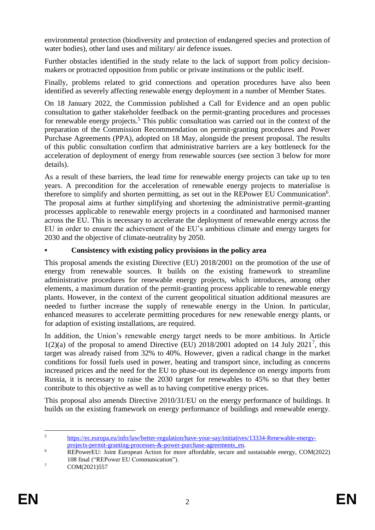environmental protection (biodiversity and protection of endangered species and protection of water bodies), other land uses and military/ air defence issues.

Further obstacles identified in the study relate to the lack of support from policy decisionmakers or protracted opposition from public or private institutions or the public itself.

Finally, problems related to grid connections and operation procedures have also been identified as severely affecting renewable energy deployment in a number of Member States.

On 18 January 2022, the Commission published a Call for Evidence and an open public consultation to gather stakeholder feedback on the permit-granting procedures and processes for renewable energy projects.<sup>5</sup> This public consultation was carried out in the context of the preparation of the Commission Recommendation on permit-granting procedures and Power Purchase Agreements (PPA), adopted on 18 May, alongside the present proposal. The results of this public consultation confirm that administrative barriers are a key bottleneck for the acceleration of deployment of energy from renewable sources (see section 3 below for more details).

As a result of these barriers, the lead time for renewable energy projects can take up to ten years. A precondition for the acceleration of renewable energy projects to materialise is therefore to simplify and shorten permitting, as set out in the REPower EU Communication<sup>6</sup>. The proposal aims at further simplifying and shortening the administrative permit-granting processes applicable to renewable energy projects in a coordinated and harmonised manner across the EU. This is necessary to accelerate the deployment of renewable energy across the EU in order to ensure the achievement of the EU's ambitious climate and energy targets for 2030 and the objective of climate-neutrality by 2050.

# **• Consistency with existing policy provisions in the policy area**

This proposal amends the existing Directive (EU) 2018/2001 on the promotion of the use of energy from renewable sources. It builds on the existing framework to streamline administrative procedures for renewable energy projects, which introduces, among other elements, a maximum duration of the permit-granting process applicable to renewable energy plants. However, in the context of the current geopolitical situation additional measures are needed to further increase the supply of renewable energy in the Union. In particular, enhanced measures to accelerate permitting procedures for new renewable energy plants, or for adaption of existing installations, are required.

In addition, the Union's renewable energy target needs to be more ambitious. In Article  $1(2)(a)$  of the proposal to amend Directive (EU) 2018/2001 adopted on 14 July 2021<sup>7</sup>, this target was already raised from 32% to 40%. However, given a radical change in the market conditions for fossil fuels used in power, heating and transport since, including as concerns increased prices and the need for the EU to phase-out its dependence on energy imports from Russia, it is necessary to raise the 2030 target for renewables to 45% so that they better contribute to this objective as well as to having competitive energy prices.

This proposal also amends Directive 2010/31/EU on the energy performance of buildings. It builds on the existing framework on energy performance of buildings and renewable energy.

 $\overline{5}$ <sup>5</sup> [https://ec.europa.eu/info/law/better-regulation/have-your-say/initiatives/13334-Renewable-energy](https://ec.europa.eu/info/law/better-regulation/have-your-say/initiatives/13334-Renewable-energy-projects-permit-granting-processes-&-power-purchase-agreements_en)[projects-permit-granting-processes-&-power-purchase-agreements\\_en.](https://ec.europa.eu/info/law/better-regulation/have-your-say/initiatives/13334-Renewable-energy-projects-permit-granting-processes-&-power-purchase-agreements_en)

<sup>&</sup>lt;sup>6</sup> REPowerEU: Joint European Action for more affordable, secure and sustainable energy, COM(2022) 108 final ("REPower EU Communication").

 $7 \text{ COM}(2021)557$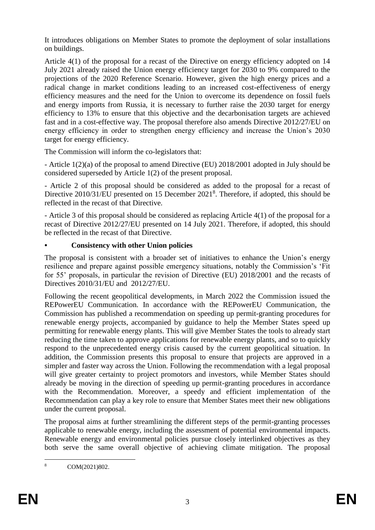It introduces obligations on Member States to promote the deployment of solar installations on buildings.

Article 4(1) of the proposal for a recast of the Directive on energy efficiency adopted on 14 July 2021 already raised the Union energy efficiency target for 2030 to 9% compared to the projections of the 2020 Reference Scenario. However, given the high energy prices and a radical change in market conditions leading to an increased cost-effectiveness of energy efficiency measures and the need for the Union to overcome its dependence on fossil fuels and energy imports from Russia, it is necessary to further raise the 2030 target for energy efficiency to 13% to ensure that this objective and the decarbonisation targets are achieved fast and in a cost-effective way. The proposal therefore also amends Directive 2012/27/EU on energy efficiency in order to strengthen energy efficiency and increase the Union's 2030 target for energy efficiency.

The Commission will inform the co-legislators that:

- Article 1(2)(a) of the proposal to amend Directive (EU) 2018/2001 adopted in July should be considered superseded by Article 1(2) of the present proposal.

- Article 2 of this proposal should be considered as added to the proposal for a recast of Directive 2010/31/EU presented on 15 December 2021<sup>8</sup>. Therefore, if adopted, this should be reflected in the recast of that Directive.

- Article 3 of this proposal should be considered as replacing Article 4(1) of the proposal for a recast of Directive 2012/27/EU presented on 14 July 2021. Therefore, if adopted, this should be reflected in the recast of that Directive.

# **• Consistency with other Union policies**

The proposal is consistent with a broader set of initiatives to enhance the Union's energy resilience and prepare against possible emergency situations, notably the Commission's 'Fit for 55' proposals, in particular the revision of Directive (EU) 2018/2001 and the recasts of Directives 2010/31/EU and 2012/27/EU.

Following the recent geopolitical developments, in March 2022 the Commission issued the REPowerEU Communication. In accordance with the REPowerEU Communication, the Commission has published a recommendation on speeding up permit-granting procedures for renewable energy projects, accompanied by guidance to help the Member States speed up permitting for renewable energy plants. This will give Member States the tools to already start reducing the time taken to approve applications for renewable energy plants, and so to quickly respond to the unprecedented energy crisis caused by the current geopolitical situation. In addition, the Commission presents this proposal to ensure that projects are approved in a simpler and faster way across the Union. Following the recommendation with a legal proposal will give greater certainty to project promotors and investors, while Member States should already be moving in the direction of speeding up permit-granting procedures in accordance with the Recommendation. Moreover, a speedy and efficient implementation of the Recommendation can play a key role to ensure that Member States meet their new obligations under the current proposal.

The proposal aims at further streamlining the different steps of the permit-granting processes applicable to renewable energy, including the assessment of potential environmental impacts. Renewable energy and environmental policies pursue closely interlinked objectives as they both serve the same overall objective of achieving climate mitigation. The proposal

 $\overline{8}$ COM(2021)802.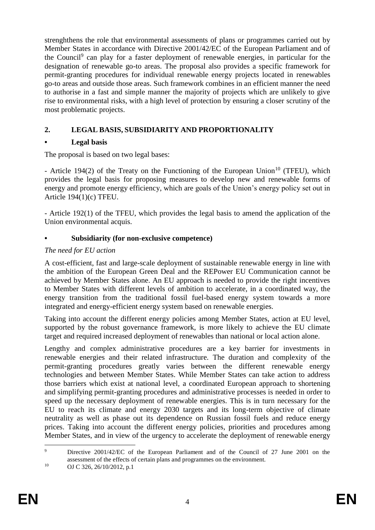strenghthens the role that environmental assessments of plans or programmes carried out by Member States in accordance with Directive 2001/42/EC of the European Parliament and of the Council<sup>9</sup> can play for a faster deployment of renewable energies, in particular for the designation of renewable go-to areas. The proposal also provides a specific framework for permit-granting procedures for individual renewable energy projects located in renewables go-to areas and outside those areas. Such framework combines in an efficient manner the need to authorise in a fast and simple manner the majority of projects which are unlikely to give rise to environmental risks, with a high level of protection by ensuring a closer scrutiny of the most problematic projects.

# **2. LEGAL BASIS, SUBSIDIARITY AND PROPORTIONALITY**

# **• Legal basis**

The proposal is based on two legal bases:

- Article 194(2) of the Treaty on the Functioning of the European Union<sup>10</sup> (TFEU), which provides the legal basis for proposing measures to develop new and renewable forms of energy and promote energy efficiency, which are goals of the Union's energy policy set out in Article 194(1)(c) TFEU.

- Article 192(1) of the TFEU, which provides the legal basis to amend the application of the Union environmental acquis.

# **• Subsidiarity (for non-exclusive competence)**

# *The need for EU action*

A cost-efficient, fast and large-scale deployment of sustainable renewable energy in line with the ambition of the European Green Deal and the REPower EU Communication cannot be achieved by Member States alone. An EU approach is needed to provide the right incentives to Member States with different levels of ambition to accelerate, in a coordinated way, the energy transition from the traditional fossil fuel-based energy system towards a more integrated and energy-efficient energy system based on renewable energies.

Taking into account the different energy policies among Member States, action at EU level, supported by the robust governance framework, is more likely to achieve the EU climate target and required increased deployment of renewables than national or local action alone.

Lengthy and complex administrative procedures are a key barrier for investments in renewable energies and their related infrastructure. The duration and complexity of the permit-granting procedures greatly varies between the different renewable energy technologies and between Member States. While Member States can take action to address those barriers which exist at national level, a coordinated European approach to shortening and simplifying permit-granting procedures and administrative processes is needed in order to speed up the necessary deployment of renewable energies. This is in turn necessary for the EU to reach its climate and energy 2030 targets and its long-term objective of climate neutrality as well as phase out its dependence on Russian fossil fuels and reduce energy prices. Taking into account the different energy policies, priorities and procedures among Member States, and in view of the urgency to accelerate the deployment of renewable energy

 $\overline{Q}$ Directive 2001/42/EC of the European Parliament and of the Council of 27 June 2001 on the assessment of the effects of certain plans and programmes on the environment. <sup>10</sup> OJ C 326, 26/10/2012, p.1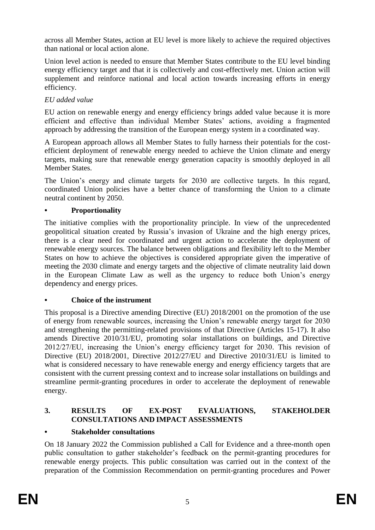across all Member States, action at EU level is more likely to achieve the required objectives than national or local action alone.

Union level action is needed to ensure that Member States contribute to the EU level binding energy efficiency target and that it is collectively and cost-effectively met. Union action will supplement and reinforce national and local action towards increasing efforts in energy efficiency.

# *EU added value*

EU action on renewable energy and energy efficiency brings added value because it is more efficient and effective than individual Member States' actions, avoiding a fragmented approach by addressing the transition of the European energy system in a coordinated way.

A European approach allows all Member States to fully harness their potentials for the costefficient deployment of renewable energy needed to achieve the Union climate and energy targets, making sure that renewable energy generation capacity is smoothly deployed in all Member States.

The Union's energy and climate targets for 2030 are collective targets. In this regard, coordinated Union policies have a better chance of transforming the Union to a climate neutral continent by 2050.

# **• Proportionality**

The initiative complies with the proportionality principle. In view of the unprecedented geopolitical situation created by Russia's invasion of Ukraine and the high energy prices, there is a clear need for coordinated and urgent action to accelerate the deployment of renewable energy sources. The balance between obligations and flexibility left to the Member States on how to achieve the objectives is considered appropriate given the imperative of meeting the 2030 climate and energy targets and the objective of climate neutrality laid down in the European Climate Law as well as the urgency to reduce both Union's energy dependency and energy prices.

# **• Choice of the instrument**

This proposal is a Directive amending Directive (EU) 2018/2001 on the promotion of the use of energy from renewable sources, increasing the Union's renewable energy target for 2030 and strengthening the permitting-related provisions of that Directive (Articles 15-17). It also amends Directive 2010/31/EU, promoting solar installations on buildings, and Directive 2012/27/EU, increasing the Union's energy efficiency target for 2030. This revision of Directive (EU) 2018/2001, Directive 2012/27/EU and Directive 2010/31/EU is limited to what is considered necessary to have renewable energy and energy efficiency targets that are consistent with the current pressing context and to increase solar installations on buildings and streamline permit-granting procedures in order to accelerate the deployment of renewable energy.

# **3. RESULTS OF EX-POST EVALUATIONS, STAKEHOLDER CONSULTATIONS AND IMPACT ASSESSMENTS**

# **• Stakeholder consultations**

On 18 January 2022 the Commission published a Call for Evidence and a three-month open public consultation to gather stakeholder's feedback on the permit-granting procedures for renewable energy projects. This public consultation was carried out in the context of the preparation of the Commission Recommendation on permit-granting procedures and Power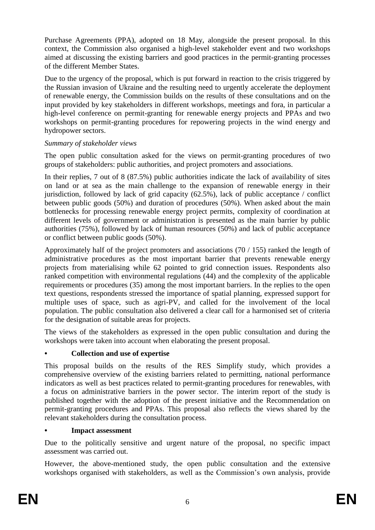Purchase Agreements (PPA), adopted on 18 May, alongside the present proposal. In this context, the Commission also organised a high-level stakeholder event and two workshops aimed at discussing the existing barriers and good practices in the permit-granting processes of the different Member States.

Due to the urgency of the proposal, which is put forward in reaction to the crisis triggered by the Russian invasion of Ukraine and the resulting need to urgently accelerate the deployment of renewable energy, the Commission builds on the results of these consultations and on the input provided by key stakeholders in different workshops, meetings and fora, in particular a high-level conference on permit-granting for renewable energy projects and PPAs and two workshops on permit-granting procedures for repowering projects in the wind energy and hydropower sectors.

# *Summary of stakeholder views*

The open public consultation asked for the views on permit-granting procedures of two groups of stakeholders: public authorities, and project promoters and associations.

In their replies, 7 out of 8 (87.5%) public authorities indicate the lack of availability of sites on land or at sea as the main challenge to the expansion of renewable energy in their jurisdiction, followed by lack of grid capacity  $(62.5\%)$ , lack of public acceptance / conflict between public goods (50%) and duration of procedures (50%). When asked about the main bottlenecks for processing renewable energy project permits, complexity of coordination at different levels of government or administration is presented as the main barrier by public authorities (75%), followed by lack of human resources (50%) and lack of public acceptance or conflict between public goods (50%).

Approximately half of the project promoters and associations (70 / 155) ranked the length of administrative procedures as the most important barrier that prevents renewable energy projects from materialising while 62 pointed to grid connection issues. Respondents also ranked competition with environmental regulations (44) and the complexity of the applicable requirements or procedures (35) among the most important barriers. In the replies to the open text questions, respondents stressed the importance of spatial planning, expressed support for multiple uses of space, such as agri-PV, and called for the involvement of the local population. The public consultation also delivered a clear call for a harmonised set of criteria for the designation of suitable areas for projects.

The views of the stakeholders as expressed in the open public consultation and during the workshops were taken into account when elaborating the present proposal.

# **• Collection and use of expertise**

This proposal builds on the results of the RES Simplify study, which provides a comprehensive overview of the existing barriers related to permitting, national performance indicators as well as best practices related to permit-granting procedures for renewables, with a focus on administrative barriers in the power sector. The interim report of the study is published together with the adoption of the present initiative and the Recommendation on permit-granting procedures and PPAs. This proposal also reflects the views shared by the relevant stakeholders during the consultation process.

# **• Impact assessment**

Due to the politically sensitive and urgent nature of the proposal, no specific impact assessment was carried out.

However, the above-mentioned study, the open public consultation and the extensive workshops organised with stakeholders, as well as the Commission's own analysis, provide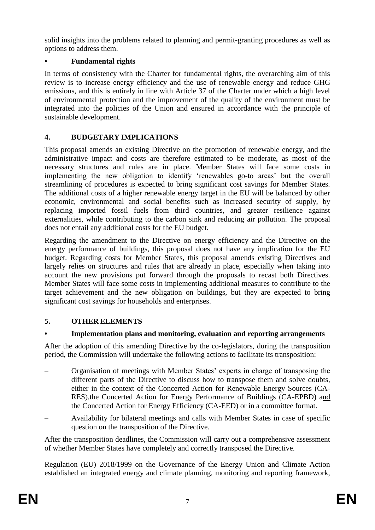solid insights into the problems related to planning and permit-granting procedures as well as options to address them.

# **• Fundamental rights**

In terms of consistency with the Charter for fundamental rights, the overarching aim of this review is to increase energy efficiency and the use of renewable energy and reduce GHG emissions, and this is entirely in line with Article 37 of the Charter under which a high level of environmental protection and the improvement of the quality of the environment must be integrated into the policies of the Union and ensured in accordance with the principle of sustainable development.

# **4. BUDGETARY IMPLICATIONS**

This proposal amends an existing Directive on the promotion of renewable energy, and the administrative impact and costs are therefore estimated to be moderate, as most of the necessary structures and rules are in place. Member States will face some costs in implementing the new obligation to identify 'renewables go-to areas' but the overall streamlining of procedures is expected to bring significant cost savings for Member States. The additional costs of a higher renewable energy target in the EU will be balanced by other economic, environmental and social benefits such as increased security of supply, by replacing imported fossil fuels from third countries, and greater resilience against externalities, while contributing to the carbon sink and reducing air pollution. The proposal does not entail any additional costs for the EU budget.

Regarding the amendment to the Directive on energy efficiency and the Directive on the energy performance of buildings, this proposal does not have any implication for the EU budget. Regarding costs for Member States, this proposal amends existing Directives and largely relies on structures and rules that are already in place, especially when taking into account the new provisions put forward through the proposals to recast both Directives. Member States will face some costs in implementing additional measures to contribute to the target achievement and the new obligation on buildings, but they are expected to bring significant cost savings for households and enterprises.

# **5. OTHER ELEMENTS**

# **• Implementation plans and monitoring, evaluation and reporting arrangements**

After the adoption of this amending Directive by the co-legislators, during the transposition period, the Commission will undertake the following actions to facilitate its transposition:

- Organisation of meetings with Member States' experts in charge of transposing the different parts of the Directive to discuss how to transpose them and solve doubts, either in the context of the Concerted Action for Renewable Energy Sources (CA-RES),the Concerted Action for Energy Performance of Buildings (CA-EPBD) and the Concerted Action for Energy Efficiency (CA-EED) or in a committee format.
- Availability for bilateral meetings and calls with Member States in case of specific question on the transposition of the Directive.

After the transposition deadlines, the Commission will carry out a comprehensive assessment of whether Member States have completely and correctly transposed the Directive.

Regulation (EU) 2018/1999 on the Governance of the Energy Union and Climate Action established an integrated energy and climate planning, monitoring and reporting framework,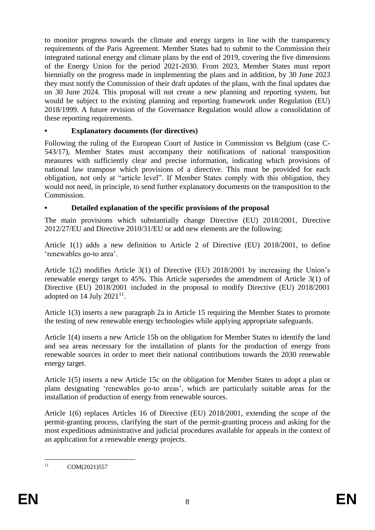to monitor progress towards the climate and energy targets in line with the transparency requirements of the Paris Agreement. Member States had to submit to the Commission their integrated national energy and climate plans by the end of 2019, covering the five dimensions of the Energy Union for the period 2021-2030. From 2023, Member States must report biennially on the progress made in implementing the plans and in addition, by 30 June 2023 they must notify the Commission of their draft updates of the plans, with the final updates due on 30 June 2024. This proposal will not create a new planning and reporting system, but would be subject to the existing planning and reporting framework under Regulation (EU) 2018/1999. A future revision of the Governance Regulation would allow a consolidation of these reporting requirements.

### **• Explanatory documents (for directives)**

Following the ruling of the European Court of Justice in Commission vs Belgium (case C-543/17), Member States must accompany their notifications of national transposition measures with sufficiently clear and precise information, indicating which provisions of national law transpose which provisions of a directive. This must be provided for each obligation, not only at "article level". If Member States comply with this obligation, they would not need, in principle, to send further explanatory documents on the transposition to the Commission.

### **• Detailed explanation of the specific provisions of the proposal**

The main provisions which substantially change Directive (EU) 2018/2001, Directive 2012/27/EU and Directive 2010/31/EU or add new elements are the following:

Article 1(1) adds a new definition to Article 2 of Directive (EU) 2018/2001, to define 'renewables go-to area'.

Article 1(2) modifies Article 3(1) of Directive (EU) 2018/2001 by increasing the Union's renewable energy target to 45%. This Article supersedes the amendment of Article 3(1) of Directive (EU) 2018/2001 included in the proposal to modify Directive (EU) 2018/2001 adopted on 14 July  $2021^{11}$ .

Article 1(3) inserts a new paragraph 2a in Article 15 requiring the Member States to promote the testing of new renewable energy technologies while applying appropriate safeguards.

Article 1(4) inserts a new Article 15b on the obligation for Member States to identify the land and sea areas necessary for the installation of plants for the production of energy from renewable sources in order to meet their national contributions towards the 2030 renewable energy target.

Article 1(5) inserts a new Article 15c on the obligation for Member States to adopt a plan or plans designating 'renewables go-to areas', which are particularly suitable areas for the installation of production of energy from renewable sources.

Article 1(6) replaces Articles 16 of Directive (EU) 2018/2001, extending the scope of the permit-granting process, clarifying the start of the permit-granting process and asking for the most expeditious administrative and judicial procedures available for appeals in the context of an application for a renewable energy projects.

 $11$ COM(2021)557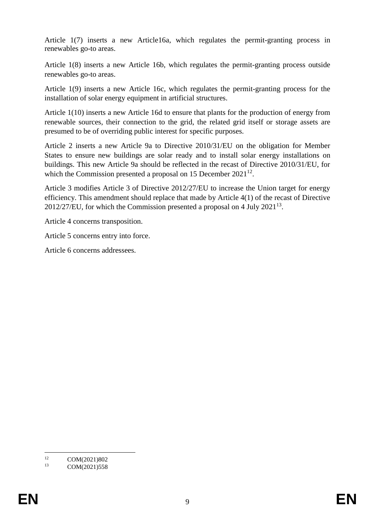Article 1(7) inserts a new Article16a, which regulates the permit-granting process in renewables go-to areas.

Article 1(8) inserts a new Article 16b, which regulates the permit-granting process outside renewables go-to areas.

Article 1(9) inserts a new Article 16c, which regulates the permit-granting process for the installation of solar energy equipment in artificial structures.

Article 1(10) inserts a new Article 16d to ensure that plants for the production of energy from renewable sources, their connection to the grid, the related grid itself or storage assets are presumed to be of overriding public interest for specific purposes.

Article 2 inserts a new Article 9a to Directive 2010/31/EU on the obligation for Member States to ensure new buildings are solar ready and to install solar energy installations on buildings. This new Article 9a should be reflected in the recast of Directive 2010/31/EU, for which the Commission presented a proposal on 15 December  $2021^{12}$ .

Article 3 modifies Article 3 of Directive 2012/27/EU to increase the Union target for energy efficiency. This amendment should replace that made by Article 4(1) of the recast of Directive 2012/27/EU, for which the Commission presented a proposal on 4 July 2021<sup>13</sup>.

Article 4 concerns transposition.

Article 5 concerns entry into force.

Article 6 concerns addressees.

 $12<sup>12</sup>$ <sup>12</sup> COM(2021)802<br><sup>13</sup> COM(2021)559

COM(2021)558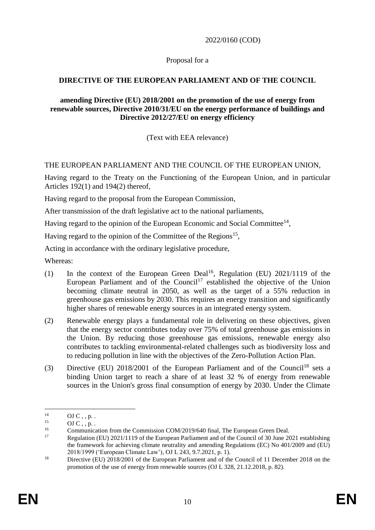2022/0160 (COD)

# Proposal for a

# **DIRECTIVE OF THE EUROPEAN PARLIAMENT AND OF THE COUNCIL**

### **amending Directive (EU) 2018/2001 on the promotion of the use of energy from renewable sources, Directive 2010/31/EU on the energy performance of buildings and Directive 2012/27/EU on energy efficiency**

(Text with EEA relevance)

# THE EUROPEAN PARLIAMENT AND THE COUNCIL OF THE EUROPEAN UNION,

Having regard to the Treaty on the Functioning of the European Union, and in particular Articles 192(1) and 194(2) thereof,

Having regard to the proposal from the European Commission,

After transmission of the draft legislative act to the national parliaments,

Having regard to the opinion of the European Economic and Social Committee<sup>14</sup>,

Having regard to the opinion of the Committee of the Regions<sup>15</sup>,

Acting in accordance with the ordinary legislative procedure,

Whereas:

- (1) In the context of the European Green Deal<sup>16</sup>, Regulation (EU)  $2021/1119$  of the European Parliament and of the Council<sup>17</sup> established the objective of the Union becoming climate neutral in 2050, as well as the target of a 55% reduction in greenhouse gas emissions by 2030. This requires an energy transition and significantly higher shares of renewable energy sources in an integrated energy system.
- (2) Renewable energy plays a fundamental role in delivering on these objectives, given that the energy sector contributes today over 75% of total greenhouse gas emissions in the Union. By reducing those greenhouse gas emissions, renewable energy also contributes to tackling environmental-related challenges such as biodiversity loss and to reducing pollution in line with the objectives of the Zero-Pollution Action Plan.
- (3) Directive (EU)  $2018/2001$  of the European Parliament and of the Council<sup>18</sup> sets a binding Union target to reach a share of at least 32 % of energy from renewable sources in the Union's gross final consumption of energy by 2030. Under the Climate

1

 $^{14}$  OJ C, , p. .<br> $^{15}$  OJ C, n.

 $\overline{O}$  J C , , p. .<br><sup>16</sup> Communic

<sup>&</sup>lt;sup>16</sup> Communication from the Commission COM/2019/640 final, The European Green Deal.<br><sup>17</sup> Reculation (EU) 2021/1110 of the European Berliament and of the Council of 20 June 20

Regulation (EU) 2021/1119 of the European Parliament and of the Council of 30 June 2021 establishing the framework for achieving climate neutrality and amending Regulations (EC) No 401/2009 and (EU) 2018/1999 ('European Climate Law'), OJ L 243, 9.7.2021, p. 1).

<sup>&</sup>lt;sup>18</sup> Directive (EU) 2018/2001 of the European Parliament and of the Council of 11 December 2018 on the promotion of the use of energy from renewable sources (OJ L 328, 21.12.2018, p. 82).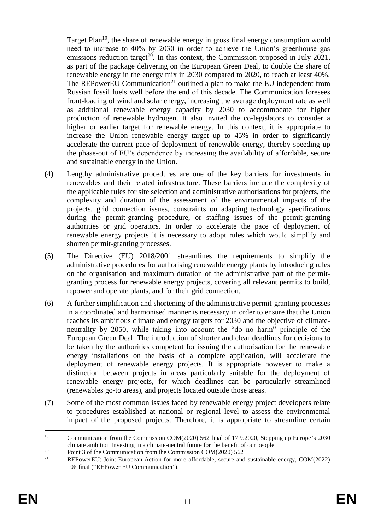Target Plan<sup>19</sup>, the share of renewable energy in gross final energy consumption would need to increase to 40% by 2030 in order to achieve the Union's greenhouse gas emissions reduction target<sup>20</sup>. In this context, the Commission proposed in July 2021, as part of the package delivering on the European Green Deal, to double the share of renewable energy in the energy mix in 2030 compared to 2020, to reach at least 40%. The REPowerEU Communication<sup>21</sup> outlined a plan to make the EU independent from Russian fossil fuels well before the end of this decade. The Communication foresees front-loading of wind and solar energy, increasing the average deployment rate as well as additional renewable energy capacity by 2030 to accommodate for higher production of renewable hydrogen. It also invited the co-legislators to consider a higher or earlier target for renewable energy. In this context, it is appropriate to increase the Union renewable energy target up to 45% in order to significantly accelerate the current pace of deployment of renewable energy, thereby speeding up the phase-out of EU's dependence by increasing the availability of affordable, secure and sustainable energy in the Union.

- (4) Lengthy administrative procedures are one of the key barriers for investments in renewables and their related infrastructure. These barriers include the complexity of the applicable rules for site selection and administrative authorisations for projects, the complexity and duration of the assessment of the environmental impacts of the projects, grid connection issues, constraints on adapting technology specifications during the permit-granting procedure, or staffing issues of the permit-granting authorities or grid operators. In order to accelerate the pace of deployment of renewable energy projects it is necessary to adopt rules which would simplify and shorten permit-granting processes.
- (5) The Directive (EU) 2018/2001 streamlines the requirements to simplify the administrative procedures for authorising renewable energy plants by introducing rules on the organisation and maximum duration of the administrative part of the permitgranting process for renewable energy projects, covering all relevant permits to build, repower and operate plants, and for their grid connection.
- (6) A further simplification and shortening of the administrative permit-granting processes in a coordinated and harmonised manner is necessary in order to ensure that the Union reaches its ambitious climate and energy targets for 2030 and the objective of climateneutrality by 2050, while taking into account the "do no harm" principle of the European Green Deal. The introduction of shorter and clear deadlines for decisions to be taken by the authorities competent for issuing the authorisation for the renewable energy installations on the basis of a complete application, will accelerate the deployment of renewable energy projects. It is appropriate however to make a distinction between projects in areas particularly suitable for the deployment of renewable energy projects, for which deadlines can be particularly streamlined (renewables go-to areas), and projects located outside those areas.
- (7) Some of the most common issues faced by renewable energy project developers relate to procedures established at national or regional level to assess the environmental impact of the proposed projects. Therefore, it is appropriate to streamline certain

<sup>19</sup> <sup>19</sup> Communication from the Commission COM(2020) 562 final of 17.9.2020, Stepping up Europe's 2030 climate ambition Investing in a climate-neutral future for the benefit of our people.

<sup>&</sup>lt;sup>20</sup> Point 3 of the Communication from the Commission COM(2020) 562<br><sup>21</sup> PED property Link Function for the form and offendable course and

REPowerEU: Joint European Action for more affordable, secure and sustainable energy, COM(2022) 108 final ("REPower EU Communication").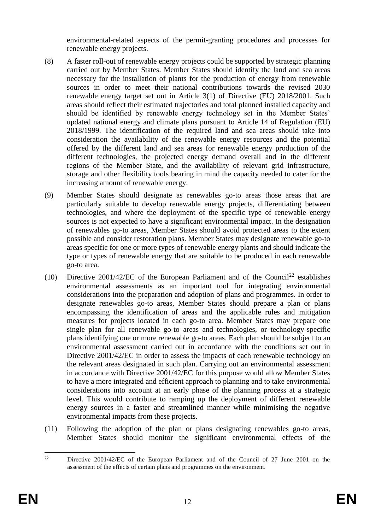environmental-related aspects of the permit-granting procedures and processes for renewable energy projects.

- (8) A faster roll-out of renewable energy projects could be supported by strategic planning carried out by Member States. Member States should identify the land and sea areas necessary for the installation of plants for the production of energy from renewable sources in order to meet their national contributions towards the revised 2030 renewable energy target set out in Article 3(1) of Directive (EU) 2018/2001. Such areas should reflect their estimated trajectories and total planned installed capacity and should be identified by renewable energy technology set in the Member States' updated national energy and climate plans pursuant to Article 14 of Regulation (EU) 2018/1999. The identification of the required land and sea areas should take into consideration the availability of the renewable energy resources and the potential offered by the different land and sea areas for renewable energy production of the different technologies, the projected energy demand overall and in the different regions of the Member State, and the availability of relevant grid infrastructure, storage and other flexibility tools bearing in mind the capacity needed to cater for the increasing amount of renewable energy.
- (9) Member States should designate as renewables go-to areas those areas that are particularly suitable to develop renewable energy projects, differentiating between technologies, and where the deployment of the specific type of renewable energy sources is not expected to have a significant environmental impact. In the designation of renewables go-to areas, Member States should avoid protected areas to the extent possible and consider restoration plans. Member States may designate renewable go-to areas specific for one or more types of renewable energy plants and should indicate the type or types of renewable energy that are suitable to be produced in each renewable go-to area.
- (10) Directive 2001/42/EC of the European Parliament and of the Council<sup>22</sup> establishes environmental assessments as an important tool for integrating environmental considerations into the preparation and adoption of plans and programmes. In order to designate renewables go-to areas, Member States should prepare a plan or plans encompassing the identification of areas and the applicable rules and mitigation measures for projects located in each go-to area. Member States may prepare one single plan for all renewable go-to areas and technologies, or technology-specific plans identifying one or more renewable go-to areas. Each plan should be subject to an environmental assessment carried out in accordance with the conditions set out in Directive 2001/42/EC in order to assess the impacts of each renewable technology on the relevant areas designated in such plan. Carrying out an environmental assessment in accordance with Directive 2001/42/EC for this purpose would allow Member States to have a more integrated and efficient approach to planning and to take environmental considerations into account at an early phase of the planning process at a strategic level. This would contribute to ramping up the deployment of different renewable energy sources in a faster and streamlined manner while minimising the negative environmental impacts from these projects.
- (11) Following the adoption of the plan or plans designating renewables go-to areas, Member States should monitor the significant environmental effects of the

 $22$ <sup>22</sup> Directive 2001/42/EC of the European Parliament and of the Council of 27 June 2001 on the assessment of the effects of certain plans and programmes on the environment.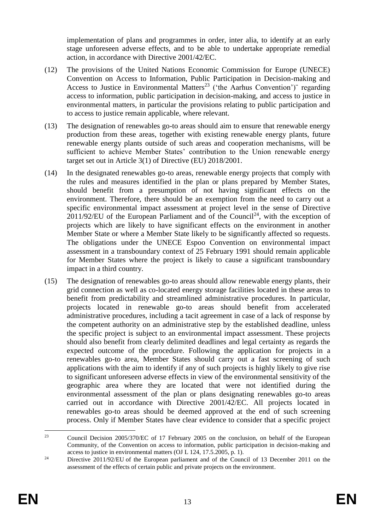implementation of plans and programmes in order, inter alia, to identify at an early stage unforeseen adverse effects, and to be able to undertake appropriate remedial action, in accordance with Directive 2001/42/EC.

- (12) The provisions of the United Nations Economic Commission for Europe (UNECE) Convention on Access to Information, Public Participation in Decision-making and Access to Justice in Environmental Matters<sup>23</sup> ('the Aarhus Convention')" regarding access to information, public participation in decision-making, and access to justice in environmental matters, in particular the provisions relating to public participation and to access to justice remain applicable, where relevant.
- (13) The designation of renewables go-to areas should aim to ensure that renewable energy production from these areas, together with existing renewable energy plants, future renewable energy plants outside of such areas and cooperation mechanisms, will be sufficient to achieve Member States' contribution to the Union renewable energy target set out in Article 3(1) of Directive (EU) 2018/2001.
- (14) In the designated renewables go-to areas, renewable energy projects that comply with the rules and measures identified in the plan or plans prepared by Member States, should benefit from a presumption of not having significant effects on the environment. Therefore, there should be an exemption from the need to carry out a specific environmental impact assessment at project level in the sense of Directive  $2011/92/EU$  of the European Parliament and of the Council<sup>24</sup>, with the exception of projects which are likely to have significant effects on the environment in another Member State or where a Member State likely to be significantly affected so requests. The obligations under the UNECE Espoo Convention on environmental impact assessment in a transboundary context of 25 February 1991 should remain applicable for Member States where the project is likely to cause a significant transboundary impact in a third country.
- (15) The designation of renewables go-to areas should allow renewable energy plants, their grid connection as well as co-located energy storage facilities located in these areas to benefit from predictability and streamlined administrative procedures. In particular, projects located in renewable go-to areas should benefit from accelerated administrative procedures, including a tacit agreement in case of a lack of response by the competent authority on an administrative step by the established deadline, unless the specific project is subject to an environmental impact assessment. These projects should also benefit from clearly delimited deadlines and legal certainty as regards the expected outcome of the procedure. Following the application for projects in a renewables go-to area, Member States should carry out a fast screening of such applications with the aim to identify if any of such projects is highly likely to give rise to significant unforeseen adverse effects in view of the environmental sensitivity of the geographic area where they are located that were not identified during the environmental assessment of the plan or plans designating renewables go-to areas carried out in accordance with Directive 2001/42/EC. All projects located in renewables go-to areas should be deemed approved at the end of such screening process. Only if Member States have clear evidence to consider that a specific project

<sup>23</sup> <sup>23</sup> Council Decision 2005/370/EC of 17 February 2005 on the conclusion, on behalf of the European Community, of the Convention on access to information, public participation in decision-making and access to justice in environmental matters (OJ L 124, 17.5.2005, p. 1).

<sup>&</sup>lt;sup>24</sup> Directive 2011/92/EU of the European parliament and of the Council of 13 December 2011 on the assessment of the effects of certain public and private projects on the environment.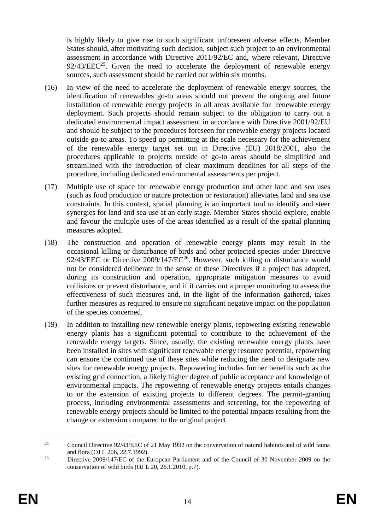is highly likely to give rise to such significant unforeseen adverse effects, Member States should, after motivating such decision, subject such project to an environmental assessment in accordance with Directive 2011/92/EC and, where relevant, Directive  $92/43/EEC<sup>25</sup>$ . Given the need to accelerate the deployment of renewable energy sources, such assessment should be carried out within six months.

- (16) In view of the need to accelerate the deployment of renewable energy sources, the identification of renewables go-to areas should not prevent the ongoing and future installation of renewable energy projects in all areas available for renewable energy deployment. Such projects should remain subject to the obligation to carry out a dedicated environmental impact assessment in accordance with Directive 2001/92/EU and should be subject to the procedures foreseen for renewable energy projects located outside go-to areas. To speed up permitting at the scale necessary for the achievement of the renewable energy target set out in Directive (EU) 2018/2001, also the procedures applicable to projects outside of go-to areas should be simplified and streamlined with the introduction of clear maximum deadlines for all steps of the procedure, including dedicated environmental assessments per project.
- (17) Multiple use of space for renewable energy production and other land and sea uses (such as food production or nature protection or restoration) alleviates land and sea use constraints. In this context, spatial planning is an important tool to identify and steer synergies for land and sea use at an early stage. Member States should explore, enable and favour the multiple uses of the areas identified as a result of the spatial planning measures adopted.
- (18) The construction and operation of renewable energy plants may result in the occasional killing or disturbance of birds and other protected species under Directive 92/43/EEC or Directive 2009/147/EC<sup>26</sup>. However, such killing or disturbance would not be considered deliberate in the sense of these Directives if a project has adopted, during its construction and operation, appropriate mitigation measures to avoid collisions or prevent disturbance, and if it carries out a proper monitoring to assess the effectiveness of such measures and, in the light of the information gathered, takes further measures as required to ensure no significant negative impact on the population of the species concerned.
- (19) In addition to installing new renewable energy plants, repowering existing renewable energy plants has a significant potential to contribute to the achievement of the renewable energy targets. Since, usually, the existing renewable energy plants have been installed in sites with significant renewable energy resource potential, repowering can ensure the continued use of these sites while reducing the need to designate new sites for renewable energy projects. Repowering includes further benefits such as the existing grid connection, a likely higher degree of public acceptance and knowledge of environmental impacts. The repowering of renewable energy projects entails changes to or the extension of existing projects to different degrees. The permit-granting process, including environmental assessments and screening, for the repowering of renewable energy projects should be limited to the potential impacts resulting from the change or extension compared to the original project.

<sup>25</sup> <sup>25</sup> Council Directive 92/43/EEC of 21 May 1992 on the convervation of natural habitats and of wild fauna and flora (OJ L 206, 22.7.1992).

<sup>&</sup>lt;sup>26</sup> Directive 2009/147/EC of the European Parliament and of the Council of 30 November 2009 on the conservation of wild birds (OJ L 20, 26.1.2010, p.7).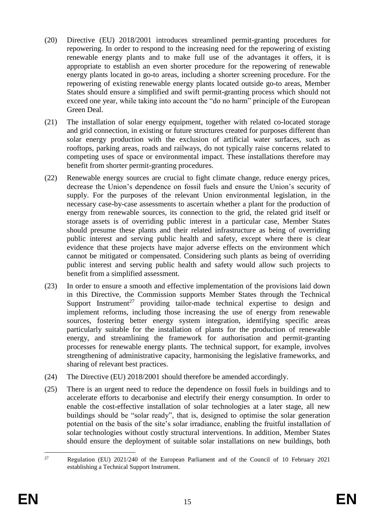- (20) Directive (EU) 2018/2001 introduces streamlined permit-granting procedures for repowering. In order to respond to the increasing need for the repowering of existing renewable energy plants and to make full use of the advantages it offers, it is appropriate to establish an even shorter procedure for the repowering of renewable energy plants located in go-to areas, including a shorter screening procedure. For the repowering of existing renewable energy plants located outside go-to areas, Member States should ensure a simplified and swift permit-granting process which should not exceed one year, while taking into account the "do no harm" principle of the European Green Deal.
- (21) The installation of solar energy equipment, together with related co-located storage and grid connection, in existing or future structures created for purposes different than solar energy production with the exclusion of artificial water surfaces, such as rooftops, parking areas, roads and railways, do not typically raise concerns related to competing uses of space or environmental impact. These installations therefore may benefit from shorter permit-granting procedures.
- (22) Renewable energy sources are crucial to fight climate change, reduce energy prices, decrease the Union's dependence on fossil fuels and ensure the Union's security of supply. For the purposes of the relevant Union environmental legislation, in the necessary case-by-case assessments to ascertain whether a plant for the production of energy from renewable sources, its connection to the grid, the related grid itself or storage assets is of overriding public interest in a particular case, Member States should presume these plants and their related infrastructure as being of overriding public interest and serving public health and safety, except where there is clear evidence that these projects have major adverse effects on the environment which cannot be mitigated or compensated. Considering such plants as being of overriding public interest and serving public health and safety would allow such projects to benefit from a simplified assessment.
- (23) In order to ensure a smooth and effective implementation of the provisions laid down in this Directive, the Commission supports Member States through the Technical Support Instrument<sup>27</sup> providing tailor-made technical expertise to design and implement reforms, including those increasing the use of energy from renewable sources, fostering better energy system integration, identifying specific areas particularly suitable for the installation of plants for the production of renewable energy, and streamlining the framework for authorisation and permit-granting processes for renewable energy plants. The technical support, for example, involves strengthening of administrative capacity, harmonising the legislative frameworks, and sharing of relevant best practices.
- (24) The Directive (EU) 2018/2001 should therefore be amended accordingly.
- (25) There is an urgent need to reduce the dependence on fossil fuels in buildings and to accelerate efforts to decarbonise and electrify their energy consumption. In order to enable the cost-effective installation of solar technologies at a later stage, all new buildings should be "solar ready", that is, designed to optimise the solar generation potential on the basis of the site's solar irradiance, enabling the fruitful installation of solar technologies without costly structural interventions. In addition, Member States should ensure the deployment of suitable solar installations on new buildings, both

 $27$ <sup>27</sup> Regulation (EU) 2021/240 of the European Parliament and of the Council of 10 February 2021 establishing a Technical Support Instrument.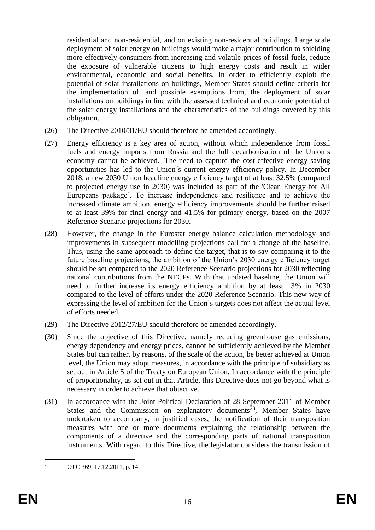residential and non-residential, and on existing non-residential buildings. Large scale deployment of solar energy on buildings would make a major contribution to shielding more effectively consumers from increasing and volatile prices of fossil fuels, reduce the exposure of vulnerable citizens to high energy costs and result in wider environmental, economic and social benefits. In order to efficiently exploit the potential of solar installations on buildings, Member States should define criteria for the implementation of, and possible exemptions from, the deployment of solar installations on buildings in line with the assessed technical and economic potential of the solar energy installations and the characteristics of the buildings covered by this obligation.

- (26) The Directive 2010/31/EU should therefore be amended accordingly.
- (27) Energy efficiency is a key area of action, without which independence from fossil fuels and energy imports from Russia and the full decarbonisation of the Union´s economy cannot be achieved. The need to capture the cost-effective energy saving opportunities has led to the Union´s current energy efficiency policy. In December 2018, a new 2030 Union headline energy efficiency target of at least 32,5% (compared to projected energy use in 2030) was included as part of the 'Clean Energy for All Europeans package'. To increase independence and resilience and to achieve the increased climate ambition, energy efficiency improvements should be further raised to at least 39% for final energy and 41.5% for primary energy, based on the 2007 Reference Scenario projections for 2030.
- (28) However, the change in the Eurostat energy balance calculation methodology and improvements in subsequent modelling projections call for a change of the baseline. Thus, using the same approach to define the target, that is to say comparing it to the future baseline projections, the ambition of the Union's 2030 energy efficiency target should be set compared to the 2020 Reference Scenario projections for 2030 reflecting national contributions from the NECPs. With that updated baseline, the Union will need to further increase its energy efficiency ambition by at least 13% in 2030 compared to the level of efforts under the 2020 Reference Scenario. This new way of expressing the level of ambition for the Union's targets does not affect the actual level of efforts needed.
- (29) The Directive 2012/27/EU should therefore be amended accordingly.
- (30) Since the objective of this Directive, namely reducing greenhouse gas emissions, energy dependency and energy prices, cannot be sufficiently achieved by the Member States but can rather, by reasons, of the scale of the action, be better achieved at Union level, the Union may adopt measures, in accordance with the principle of subsidiary as set out in Article 5 of the Treaty on European Union. In accordance with the principle of proportionality, as set out in that Article, this Directive does not go beyond what is necessary in order to achieve that objective.
- (31) In accordance with the Joint Political Declaration of 28 September 2011 of Member States and the Commission on explanatory documents<sup>28</sup>, Member States have undertaken to accompany, in justified cases, the notification of their transposition measures with one or more documents explaining the relationship between the components of a directive and the corresponding parts of national transposition instruments. With regard to this Directive, the legislator considers the transmission of

<sup>28</sup> OJ C 369, 17.12.2011, p. 14.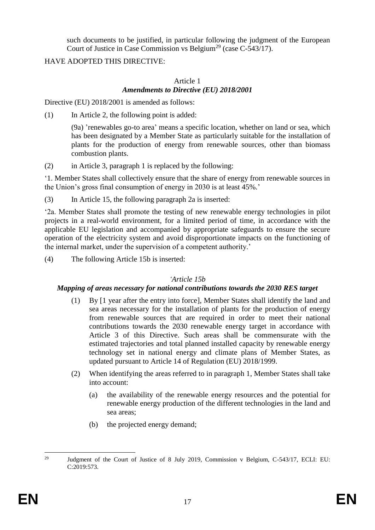such documents to be justified, in particular following the judgment of the European Court of Justice in Case Commission vs Belgium<sup>29</sup> (case C-543/17).

# HAVE ADOPTED THIS DIRECTIVE:

#### Article 1 *Amendments to Directive (EU) 2018/2001*

Directive (EU) 2018/2001 is amended as follows:

(1) In Article 2, the following point is added:

(9a) 'renewables go-to area' means a specific location, whether on land or sea, which has been designated by a Member State as particularly suitable for the installation of plants for the production of energy from renewable sources, other than biomass combustion plants.

(2) in Article 3, paragraph 1 is replaced by the following:

'1. Member States shall collectively ensure that the share of energy from renewable sources in the Union's gross final consumption of energy in 2030 is at least 45%.'

(3) In Article 15, the following paragraph 2a is inserted:

'2a. Member States shall promote the testing of new renewable energy technologies in pilot projects in a real-world environment, for a limited period of time, in accordance with the applicable EU legislation and accompanied by appropriate safeguards to ensure the secure operation of the electricity system and avoid disproportionate impacts on the functioning of the internal market, under the supervision of a competent authority.'

(4) The following Article 15b is inserted:

#### *'Article 15b*

# *Mapping of areas necessary for national contributions towards the 2030 RES target*

- (1) By [1 year after the entry into force], Member States shall identify the land and sea areas necessary for the installation of plants for the production of energy from renewable sources that are required in order to meet their national contributions towards the 2030 renewable energy target in accordance with Article 3 of this Directive. Such areas shall be commensurate with the estimated trajectories and total planned installed capacity by renewable energy technology set in national energy and climate plans of Member States, as updated pursuant to Article 14 of Regulation (EU) 2018/1999.
- (2) When identifying the areas referred to in paragraph 1, Member States shall take into account:
	- (a) the availability of the renewable energy resources and the potential for renewable energy production of the different technologies in the land and sea areas;
	- (b) the projected energy demand;

 $29$ <sup>29</sup> Judgment of the Court of Justice of 8 July 2019, Commission v Belgium, C-543/17, ECLI: EU: C:2019:573.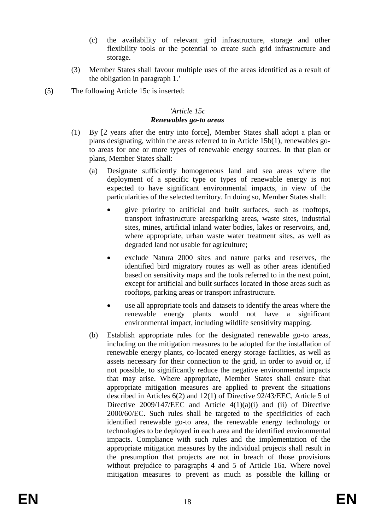- (c) the availability of relevant grid infrastructure, storage and other flexibility tools or the potential to create such grid infrastructure and storage.
- (3) Member States shall favour multiple uses of the areas identified as a result of the obligation in paragraph 1.'
- (5) The following Article 15c is inserted:

### *'Article 15c Renewables go-to areas*

- (1) By [2 years after the entry into force], Member States shall adopt a plan or plans designating, within the areas referred to in Article 15b(1), renewables goto areas for one or more types of renewable energy sources. In that plan or plans, Member States shall:
	- (a) Designate sufficiently homogeneous land and sea areas where the deployment of a specific type or types of renewable energy is not expected to have significant environmental impacts, in view of the particularities of the selected territory. In doing so, Member States shall:
		- give priority to artificial and built surfaces, such as rooftops, transport infrastructure areasparking areas, waste sites, industrial sites, mines, artificial inland water bodies, lakes or reservoirs, and, where appropriate, urban waste water treatment sites, as well as degraded land not usable for agriculture;
		- exclude Natura 2000 sites and nature parks and reserves, the identified bird migratory routes as well as other areas identified based on sensitivity maps and the tools referred to in the next point, except for artificial and built surfaces located in those areas such as rooftops, parking areas or transport infrastructure.
		- use all appropriate tools and datasets to identify the areas where the renewable energy plants would not have a significant environmental impact, including wildlife sensitivity mapping.
	- (b) Establish appropriate rules for the designated renewable go-to areas, including on the mitigation measures to be adopted for the installation of renewable energy plants, co-located energy storage facilities, as well as assets necessary for their connection to the grid, in order to avoid or, if not possible, to significantly reduce the negative environmental impacts that may arise. Where appropriate, Member States shall ensure that appropriate mitigation measures are applied to prevent the situations described in Articles 6(2) and 12(1) of Directive 92/43/EEC, Article 5 of Directive  $2009/147/EEC$  and Article  $4(1)(a)(i)$  and (ii) of Directive 2000/60/EC. Such rules shall be targeted to the specificities of each identified renewable go-to area, the renewable energy technology or technologies to be deployed in each area and the identified environmental impacts. Compliance with such rules and the implementation of the appropriate mitigation measures by the individual projects shall result in the presumption that projects are not in breach of those provisions without prejudice to paragraphs 4 and 5 of Article 16a. Where novel mitigation measures to prevent as much as possible the killing or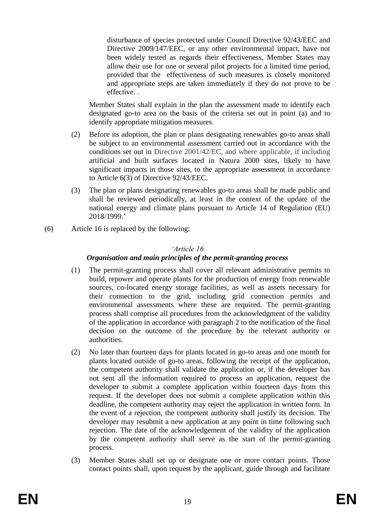disturbance of species protected under Council Directive 92/43/EEC and Directive 2009/147/EEC, or any other environmental impact, have not been widely tested as regards their effectiveness, Member States may allow their use for one or several pilot projects for a limited time period, provided that the effectiveness of such measures is closely monitored and appropriate steps are taken immediately if they do not prove to be effective. .

Member States shall explain in the plan the assessment made to identify each designated go-to area on the basis of the criteria set out in point (a) and to identify appropriate mitigation measures.

- (2) Before its adoption, the plan or plans designating renewables go-to areas shall be subject to an environmental assessment carried out in accordance with the conditions set out in Directive 2001/42/EC, and where applicable, if including artificial and built surfaces located in Natura 2000 sites, likely to have significant impacts in those sites, to the appropriate assessment in accordance to Article 6(3) of Directive 92/43/EEC.
- (3) The plan or plans designating renewables go-to areas shall be made public and shall be reviewed periodically, at least in the context of the update of the national energy and climate plans pursuant to Article 14 of Regulation (EU) 2018/1999.'
- (6) Article 16 is replaced by the following:

# *'Article 16*

# *Organisation and main principles of the permit-granting process*

- (1) The permit-granting process shall cover all relevant administrative permits to build, repower and operate plants for the production of energy from renewable sources, co-located energy storage facilities, as well as assets necessary for their connection to the grid, including grid connection permits and environmental assessments where these are required. The permit-granting process shall comprise all procedures from the acknowledgment of the validity of the application in accordance with paragraph 2 to the notification of the final decision on the outcome of the procedure by the relevant authority or authorities.
- (2) No later than fourteen days for plants located in go-to areas and one month for plants located outside of go-to areas, following the receipt of the application, the competent authority shall validate the application or, if the developer has not sent all the information required to process an application, request the developer to submit a complete application within fourteen days from this request. If the developer does not submit a complete application within this deadline, the competent authority may reject the application in written form. In the event of a rejection, the competent authority shall justify its decision. The developer may resubmit a new application at any point in time following such rejection. The date of the acknowledgement of the validity of the application by the competent authority shall serve as the start of the permit-granting process.
- (3) Member States shall set up or designate one or more contact points. Those contact points shall, upon request by the applicant, guide through and facilitate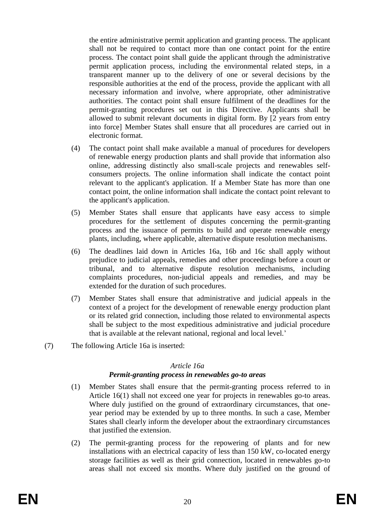the entire administrative permit application and granting process. The applicant shall not be required to contact more than one contact point for the entire process. The contact point shall guide the applicant through the administrative permit application process, including the environmental related steps, in a transparent manner up to the delivery of one or several decisions by the responsible authorities at the end of the process, provide the applicant with all necessary information and involve, where appropriate, other administrative authorities. The contact point shall ensure fulfilment of the deadlines for the permit-granting procedures set out in this Directive. Applicants shall be allowed to submit relevant documents in digital form. By [2 years from entry into force] Member States shall ensure that all procedures are carried out in electronic format.

- (4) The contact point shall make available a manual of procedures for developers of renewable energy production plants and shall provide that information also online, addressing distinctly also small-scale projects and renewables selfconsumers projects. The online information shall indicate the contact point relevant to the applicant's application. If a Member State has more than one contact point, the online information shall indicate the contact point relevant to the applicant's application.
- (5) Member States shall ensure that applicants have easy access to simple procedures for the settlement of disputes concerning the permit-granting process and the issuance of permits to build and operate renewable energy plants, including, where applicable, alternative dispute resolution mechanisms.
- (6) The deadlines laid down in Articles 16a, 16b and 16c shall apply without prejudice to judicial appeals, remedies and other proceedings before a court or tribunal, and to alternative dispute resolution mechanisms, including complaints procedures, non-judicial appeals and remedies, and may be extended for the duration of such procedures.
- (7) Member States shall ensure that administrative and judicial appeals in the context of a project for the development of renewable energy production plant or its related grid connection, including those related to environmental aspects shall be subject to the most expeditious administrative and judicial procedure that is available at the relevant national, regional and local level.'
- (7) The following Article 16a is inserted:

#### *Article 16a*

# *Permit-granting process in renewables go-to areas*

- (1) Member States shall ensure that the permit-granting process referred to in Article 16(1) shall not exceed one year for projects in renewables go-to areas. Where duly justified on the ground of extraordinary circumstances, that oneyear period may be extended by up to three months. In such a case, Member States shall clearly inform the developer about the extraordinary circumstances that justified the extension.
- (2) The permit-granting process for the repowering of plants and for new installations with an electrical capacity of less than 150 kW, co-located energy storage facilities as well as their grid connection, located in renewables go-to areas shall not exceed six months. Where duly justified on the ground of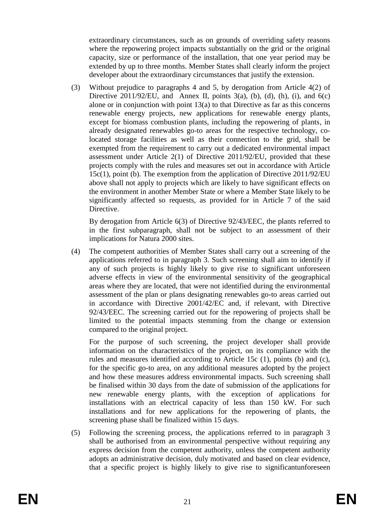extraordinary circumstances, such as on grounds of overriding safety reasons where the repowering project impacts substantially on the grid or the original capacity, size or performance of the installation, that one year period may be extended by up to three months. Member States shall clearly inform the project developer about the extraordinary circumstances that justify the extension.

(3) Without prejudice to paragraphs 4 and 5, by derogation from Article 4(2) of Directive 2011/92/EU, and Annex II, points  $3(a)$ , (b), (d), (h), (i), and  $6(c)$ alone or in conjunction with point 13(a) to that Directive as far as this concerns renewable energy projects, new applications for renewable energy plants, except for biomass combustion plants, including the repowering of plants, in already designated renewables go-to areas for the respective technology, colocated storage facilities as well as their connection to the grid, shall be exempted from the requirement to carry out a dedicated environmental impact assessment under Article 2(1) of Directive 2011/92/EU, provided that these projects comply with the rules and measures set out in accordance with Article 15c(1), point (b). The exemption from the application of Directive 2011/92/EU above shall not apply to projects which are likely to have significant effects on the environment in another Member State or where a Member State likely to be significantly affected so requests, as provided for in Article 7 of the said Directive.

By derogation from Article 6(3) of Directive 92/43/EEC, the plants referred to in the first subparagraph, shall not be subject to an assessment of their implications for Natura 2000 sites.

(4) The competent authorities of Member States shall carry out a screening of the applications referred to in paragraph 3. Such screening shall aim to identify if any of such projects is highly likely to give rise to significant unforeseen adverse effects in view of the environmental sensitivity of the geographical areas where they are located, that were not identified during the environmental assessment of the plan or plans designating renewables go-to areas carried out in accordance with Directive 2001/42/EC and, if relevant, with Directive 92/43/EEC. The screening carried out for the repowering of projects shall be limited to the potential impacts stemming from the change or extension compared to the original project.

For the purpose of such screening, the project developer shall provide information on the characteristics of the project, on its compliance with the rules and measures identified according to Article 15c (1), points (b) and (c), for the specific go-to area, on any additional measures adopted by the project and how these measures address environmental impacts. Such screening shall be finalised within 30 days from the date of submission of the applications for new renewable energy plants, with the exception of applications for installations with an electrical capacity of less than 150 kW. For such installations and for new applications for the repowering of plants, the screening phase shall be finalized within 15 days.

(5) Following the screening process, the applications referred to in paragraph 3 shall be authorised from an environmental perspective without requiring any express decision from the competent authority, unless the competent authority adopts an administrative decision, duly motivated and based on clear evidence, that a specific project is highly likely to give rise to significantunforeseen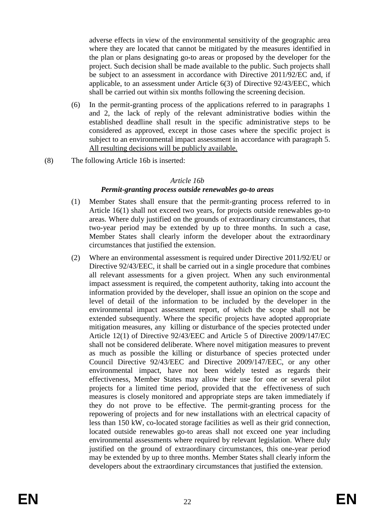adverse effects in view of the environmental sensitivity of the geographic area where they are located that cannot be mitigated by the measures identified in the plan or plans designating go-to areas or proposed by the developer for the project. Such decision shall be made available to the public. Such projects shall be subject to an assessment in accordance with Directive 2011/92/EC and, if applicable, to an assessment under Article 6(3) of Directive 92/43/EEC, which shall be carried out within six months following the screening decision.

- (6) In the permit-granting process of the applications referred to in paragraphs 1 and 2, the lack of reply of the relevant administrative bodies within the established deadline shall result in the specific administrative steps to be considered as approved, except in those cases where the specific project is subject to an environmental impact assessment in accordance with paragraph 5. All resulting decisions will be publicly available.
- (8) The following Article 16b is inserted:

#### *Article 16b*

### *Permit-granting process outside renewables go-to areas*

- (1) Member States shall ensure that the permit-granting process referred to in Article 16(1) shall not exceed two years, for projects outside renewables go-to areas. Where duly justified on the grounds of extraordinary circumstances, that two-year period may be extended by up to three months. In such a case, Member States shall clearly inform the developer about the extraordinary circumstances that justified the extension.
- (2) Where an environmental assessment is required under Directive 2011/92/EU or Directive 92/43/EEC, it shall be carried out in a single procedure that combines all relevant assessments for a given project. When any such environmental impact assessment is required, the competent authority, taking into account the information provided by the developer, shall issue an opinion on the scope and level of detail of the information to be included by the developer in the environmental impact assessment report, of which the scope shall not be extended subsequently. Where the specific projects have adopted appropriate mitigation measures, any killing or disturbance of the species protected under Article 12(1) of Directive 92/43/EEC and Article 5 of Directive 2009/147/EC shall not be considered deliberate. Where novel mitigation measures to prevent as much as possible the killing or disturbance of species protected under Council Directive 92/43/EEC and Directive 2009/147/EEC, or any other environmental impact, have not been widely tested as regards their effectiveness, Member States may allow their use for one or several pilot projects for a limited time period, provided that the effectiveness of such measures is closely monitored and appropriate steps are taken immediately if they do not prove to be effective. The permit-granting process for the repowering of projects and for new installations with an electrical capacity of less than 150 kW, co-located storage facilities as well as their grid connection, located outside renewables go-to areas shall not exceed one year including environmental assessments where required by relevant legislation. Where duly justified on the ground of extraordinary circumstances, this one-year period may be extended by up to three months. Member States shall clearly inform the developers about the extraordinary circumstances that justified the extension.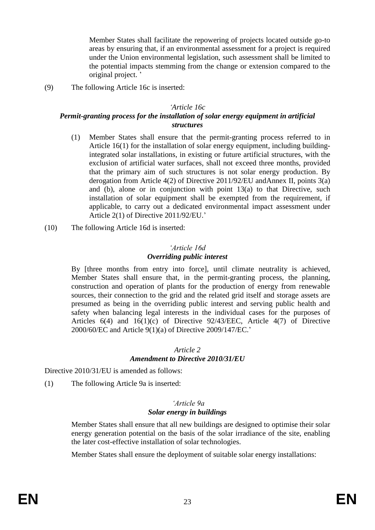Member States shall facilitate the repowering of projects located outside go-to areas by ensuring that, if an environmental assessment for a project is required under the Union environmental legislation, such assessment shall be limited to the potential impacts stemming from the change or extension compared to the original project. '

(9) The following Article 16c is inserted:

#### *'Article 16c*

### *Permit-granting process for the installation of solar energy equipment in artificial structures*

- (1) Member States shall ensure that the permit-granting process referred to in Article 16(1) for the installation of solar energy equipment, including buildingintegrated solar installations, in existing or future artificial structures, with the exclusion of artificial water surfaces, shall not exceed three months, provided that the primary aim of such structures is not solar energy production. By derogation from Article 4(2) of Directive 2011/92/EU andAnnex II, points 3(a) and (b), alone or in conjunction with point  $13(a)$  to that Directive, such installation of solar equipment shall be exempted from the requirement, if applicable, to carry out a dedicated environmental impact assessment under Article 2(1) of Directive 2011/92/EU.'
- (10) The following Article 16d is inserted:

#### *'Article 16d Overriding public interest*

By [three months from entry into force], until climate neutrality is achieved, Member States shall ensure that, in the permit-granting process, the planning, construction and operation of plants for the production of energy from renewable sources, their connection to the grid and the related grid itself and storage assets are presumed as being in the overriding public interest and serving public health and safety when balancing legal interests in the individual cases for the purposes of Articles 6(4) and 16(1)(c) of Directive 92/43/EEC, Article 4(7) of Directive 2000/60/EC and Article 9(1)(a) of Directive 2009/147/EC.'

#### *Article 2 Amendment to Directive 2010/31/EU*

Directive 2010/31/EU is amended as follows:

(1) The following Article 9a is inserted:

#### *'Article 9a Solar energy in buildings*

Member States shall ensure that all new buildings are designed to optimise their solar energy generation potential on the basis of the solar irradiance of the site, enabling the later cost-effective installation of solar technologies.

Member States shall ensure the deployment of suitable solar energy installations: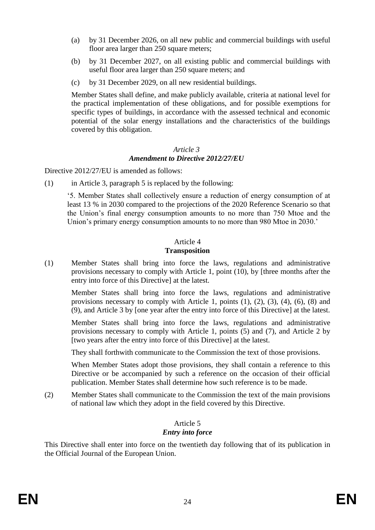- (a) by 31 December 2026, on all new public and commercial buildings with useful floor area larger than 250 square meters;
- (b) by 31 December 2027, on all existing public and commercial buildings with useful floor area larger than 250 square meters; and
- (c) by 31 December 2029, on all new residential buildings.

Member States shall define, and make publicly available, criteria at national level for the practical implementation of these obligations, and for possible exemptions for specific types of buildings, in accordance with the assessed technical and economic potential of the solar energy installations and the characteristics of the buildings covered by this obligation.

#### *Article 3 Amendment to Directive 2012/27/EU*

Directive 2012/27/EU is amended as follows:

(1) in Article 3, paragraph 5 is replaced by the following:

'5. Member States shall collectively ensure a reduction of energy consumption of at least 13 % in 2030 compared to the projections of the 2020 Reference Scenario so that the Union's final energy consumption amounts to no more than 750 Mtoe and the Union's primary energy consumption amounts to no more than 980 Mtoe in 2030.'

# Article 4

### **Transposition**

(1) Member States shall bring into force the laws, regulations and administrative provisions necessary to comply with Article 1, point (10), by [three months after the entry into force of this Directive] at the latest.

Member States shall bring into force the laws, regulations and administrative provisions necessary to comply with Article 1, points (1), (2), (3), (4), (6), (8) and (9), and Article 3 by [one year after the entry into force of this Directive] at the latest.

Member States shall bring into force the laws, regulations and administrative provisions necessary to comply with Article 1, points (5) and (7), and Article 2 by [two years after the entry into force of this Directive] at the latest.

They shall forthwith communicate to the Commission the text of those provisions.

When Member States adopt those provisions, they shall contain a reference to this Directive or be accompanied by such a reference on the occasion of their official publication. Member States shall determine how such reference is to be made.

(2) Member States shall communicate to the Commission the text of the main provisions of national law which they adopt in the field covered by this Directive.

### Article 5 *Entry into force*

This Directive shall enter into force on the twentieth day following that of its publication in the Official Journal of the European Union.